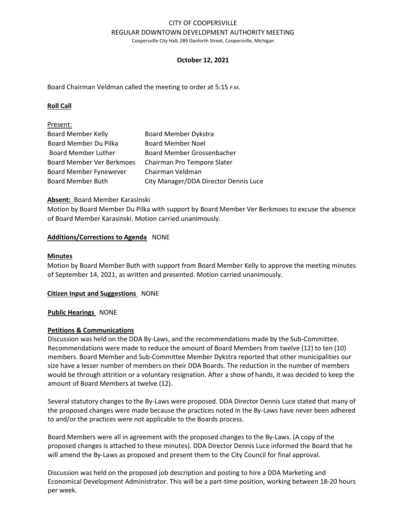# CITY OF COOPERSVILLE REGULAR DOWNTOWN DEVELOPMENT AUTHORITY MEETING

Coopersville City Hall; 289 Danforth Street, Coopersville, Michigan

#### **October 12, 2021**

Board Chairman Veldman called the meeting to order at 5:15 P.M.

#### **Roll Call**

| Present:                         |                                       |
|----------------------------------|---------------------------------------|
| <b>Board Member Kelly</b>        | <b>Board Member Dykstra</b>           |
| Board Member Du Pilka            | <b>Board Member Noel</b>              |
| <b>Board Member Luther</b>       | Board Member Grossenbacher            |
| <b>Board Member Ver Berkmoes</b> | Chairman Pro Tempore Slater           |
| <b>Board Member Fynewever</b>    | Chairman Veldman                      |
| <b>Board Member Buth</b>         | City Manager/DDA Director Dennis Luce |

#### **Absent:** Board Member Karasinski

Motion by Board Member Du Pilka with support by Board Member Ver Berkmoes to excuse the absence of Board Member Karasinski. Motion carried unanimously.

#### **Additions/Corrections to Agenda** NONE

#### **Minutes**

Motion by Board Member Buth with support from Board Member Kelly to approve the meeting minutes of September 14, 2021, as written and presented. Motion carried unanimously.

#### **Citizen Input and Suggestions** NONE

#### **Public Hearings** NONE

#### **Petitions & Communications**

Discussion was held on the DDA By-Laws, and the recommendations made by the Sub-Committee. Recommendations were made to reduce the amount of Board Members from twelve (12) to ten (10) members. Board Member and Sub-Committee Member Dykstra reported that other municipalities our size have a lesser number of members on their DDA Boards. The reduction in the number of members would be through attrition or a voluntary resignation. After a show of hands, it was decided to keep the amount of Board Members at twelve (12).

Several statutory changes to the By-Laws were proposed. DDA Director Dennis Luce stated that many of the proposed changes were made because the practices noted in the By-Laws have never been adhered to and/or the practices were not applicable to the Boards process.

Board Members were all in agreement with the proposed changes to the By-Laws. (A copy of the proposed changes is attached to these minutes). DDA Director Dennis Luce informed the Board that he will amend the By-Laws as proposed and present them to the City Council for final approval.

Discussion was held on the proposed job description and posting to hire a DDA Marketing and Economical Development Administrator. This will be a part-time position, working between 18-20 hours per week.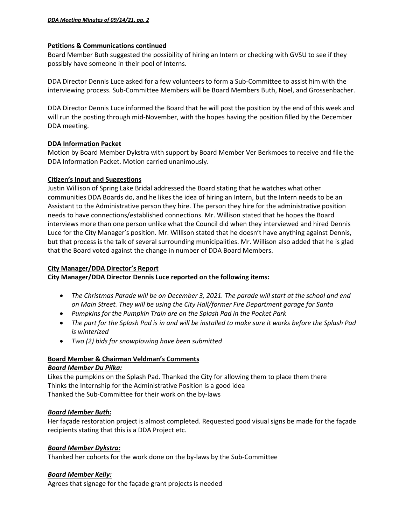## **Petitions & Communications continued**

Board Member Buth suggested the possibility of hiring an Intern or checking with GVSU to see if they possibly have someone in their pool of Interns.

DDA Director Dennis Luce asked for a few volunteers to form a Sub-Committee to assist him with the interviewing process. Sub-Committee Members will be Board Members Buth, Noel, and Grossenbacher.

DDA Director Dennis Luce informed the Board that he will post the position by the end of this week and will run the posting through mid-November, with the hopes having the position filled by the December DDA meeting.

## **DDA Information Packet**

Motion by Board Member Dykstra with support by Board Member Ver Berkmoes to receive and file the DDA Information Packet. Motion carried unanimously.

### **Citizen's Input and Suggestions**

Justin Willison of Spring Lake Bridal addressed the Board stating that he watches what other communities DDA Boards do, and he likes the idea of hiring an Intern, but the Intern needs to be an Assistant to the Administrative person they hire. The person they hire for the administrative position needs to have connections/established connections. Mr. Willison stated that he hopes the Board interviews more than one person unlike what the Council did when they interviewed and hired Dennis Luce for the City Manager's position. Mr. Willison stated that he doesn't have anything against Dennis, but that process is the talk of several surrounding municipalities. Mr. Willison also added that he is glad that the Board voted against the change in number of DDA Board Members.

### **City Manager/DDA Director's Report**

**City Manager/DDA Director Dennis Luce reported on the following items:**

- *The Christmas Parade will be on December 3, 2021. The parade will start at the school and end on Main Street. They will be using the City Hall/former Fire Department garage for Santa*
- *Pumpkins for the Pumpkin Train are on the Splash Pad in the Pocket Park*
- *The part for the Splash Pad is in and will be installed to make sure it works before the Splash Pad is winterized*
- *Two (2) bids for snowplowing have been submitted*

### **Board Member & Chairman Veldman's Comments** *Board Member Du Pilka:*

Likes the pumpkins on the Splash Pad. Thanked the City for allowing them to place them there Thinks the Internship for the Administrative Position is a good idea Thanked the Sub-Committee for their work on the by-laws

## *Board Member Buth:*

Her façade restoration project is almost completed. Requested good visual signs be made for the façade recipients stating that this is a DDA Project etc.

## *Board Member Dykstra:*

Thanked her cohorts for the work done on the by-laws by the Sub-Committee

## *Board Member Kelly:*

Agrees that signage for the façade grant projects is needed